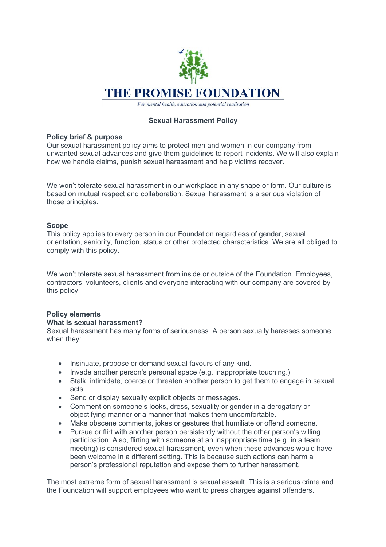

For mental health, education and potential realisation

# **Sexual Harassment Policy**

# **Policy brief & purpose**

Our sexual harassment policy aims to protect men and women in our company from unwanted sexual advances and give them guidelines to report incidents. We will also explain how we handle claims, punish sexual harassment and help victims recover.

We won't tolerate sexual harassment in our workplace in any shape or form. Our culture is based on mutual respect and collaboration. Sexual harassment is a serious violation of those principles.

# **Scope**

This policy applies to every person in our Foundation regardless of gender, sexual orientation, seniority, function, status or other protected characteristics. We are all obliged to comply with this policy.

We won't tolerate sexual harassment from inside or outside of the Foundation. Employees, contractors, volunteers, clients and everyone interacting with our company are covered by this policy.

# **Policy elements**

#### **What is sexual harassment?**

Sexual harassment has many forms of seriousness. A person sexually harasses someone when they:

- Insinuate, propose or demand sexual favours of any kind.
- Invade another person's personal space (e.g. inappropriate touching.)
- Stalk, intimidate, coerce or threaten another person to get them to engage in sexual acts.
- Send or display sexually explicit objects or messages.
- Comment on someone's looks, dress, sexuality or gender in a derogatory or objectifying manner or a manner that makes them uncomfortable.
- Make obscene comments, jokes or gestures that humiliate or offend someone.
- Pursue or flirt with another person persistently without the other person's willing participation. Also, flirting with someone at an inappropriate time (e.g. in a team meeting) is considered sexual harassment, even when these advances would have been welcome in a different setting. This is because such actions can harm a person's professional reputation and expose them to further harassment.

The most extreme form of sexual harassment is sexual assault. This is a serious crime and the Foundation will support employees who want to press charges against offenders.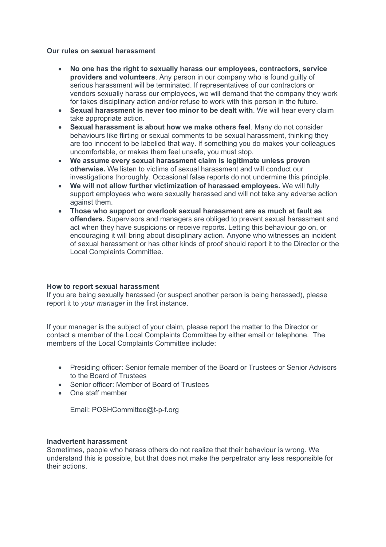### **Our rules on sexual harassment**

- **No one has the right to sexually harass our employees, contractors, service providers and volunteers**. Any person in our company who is found guilty of serious harassment will be terminated. If representatives of our contractors or vendors sexually harass our employees, we will demand that the company they work for takes disciplinary action and/or refuse to work with this person in the future.
- **Sexual harassment is never too minor to be dealt with**. We will hear every claim take appropriate action.
- **Sexual harassment is about how we make others feel**. Many do not consider behaviours like flirting or sexual comments to be sexual harassment, thinking they are too innocent to be labelled that way. If something you do makes your colleagues uncomfortable, or makes them feel unsafe, you must stop.
- **We assume every sexual harassment claim is legitimate unless proven otherwise.** We listen to victims of sexual harassment and will conduct our investigations thoroughly. Occasional false reports do not undermine this principle.
- **We will not allow further victimization of harassed employees.** We will fully support employees who were sexually harassed and will not take any adverse action against them.
- **Those who support or overlook sexual harassment are as much at fault as offenders.** Supervisors and managers are obliged to prevent sexual harassment and act when they have suspicions or receive reports. Letting this behaviour go on, or encouraging it will bring about disciplinary action. Anyone who witnesses an incident of sexual harassment or has other kinds of proof should report it to the Director or the Local Complaints Committee.

#### **How to report sexual harassment**

If you are being sexually harassed (or suspect another person is being harassed), please report it to *your manager* in the first instance.

If your manager is the subject of your claim, please report the matter to the Director or contact a member of the Local Complaints Committee by either email or telephone. The members of the Local Complaints Committee include:

- Presiding officer: Senior female member of the Board or Trustees or Senior Advisors to the Board of Trustees
- Senior officer: Member of Board of Trustees
- One staff member

Email: POSHCommittee@t-p-f.org

### **Inadvertent harassment**

Sometimes, people who harass others do not realize that their behaviour is wrong. We understand this is possible, but that does not make the perpetrator any less responsible for their actions.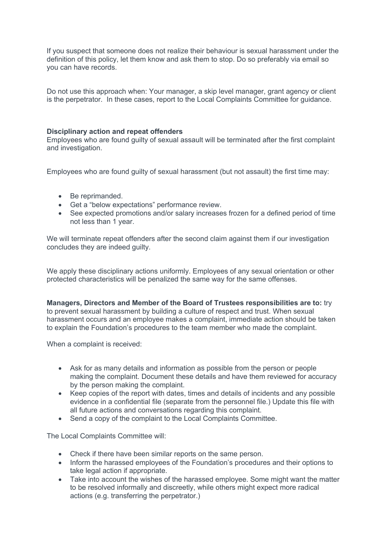If you suspect that someone does not realize their behaviour is sexual harassment under the definition of this policy, let them know and ask them to stop. Do so preferably via email so you can have records.

Do not use this approach when: Your manager, a skip level manager, grant agency or client is the perpetrator. In these cases, report to the Local Complaints Committee for guidance.

## **Disciplinary action and repeat offenders**

Employees who are found guilty of sexual assault will be terminated after the first complaint and investigation.

Employees who are found guilty of sexual harassment (but not assault) the first time may:

- Be reprimanded.
- Get a "below expectations" performance review.
- See expected promotions and/or salary increases frozen for a defined period of time not less than 1 year.

We will terminate repeat offenders after the second claim against them if our investigation concludes they are indeed guilty.

We apply these disciplinary actions uniformly. Employees of any sexual orientation or other protected characteristics will be penalized the same way for the same offenses.

**Managers, Directors and Member of the Board of Trustees responsibilities are to:** try to prevent sexual harassment by building a culture of respect and trust. When sexual harassment occurs and an employee makes a complaint, immediate action should be taken to explain the Foundation's procedures to the team member who made the complaint.

When a complaint is received:

- Ask for as many details and information as possible from the person or people making the complaint. Document these details and have them reviewed for accuracy by the person making the complaint.
- Keep copies of the report with dates, times and details of incidents and any possible evidence in a confidential file (separate from the personnel file.) Update this file with all future actions and conversations regarding this complaint.
- Send a copy of the complaint to the Local Complaints Committee.

The Local Complaints Committee will:

- Check if there have been similar reports on the same person.
- Inform the harassed employees of the Foundation's procedures and their options to take legal action if appropriate.
- Take into account the wishes of the harassed employee. Some might want the matter to be resolved informally and discreetly, while others might expect more radical actions (e.g. transferring the perpetrator.)